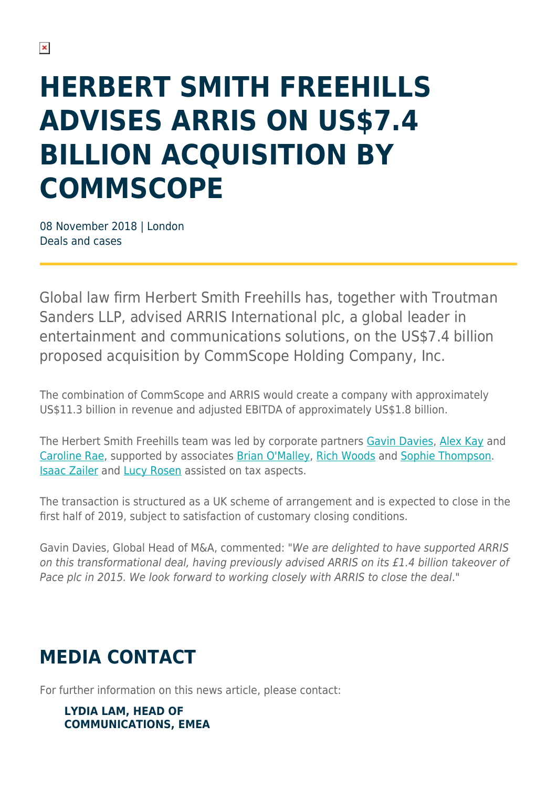## **HERBERT SMITH FREEHILLS ADVISES ARRIS ON US\$7.4 BILLION ACQUISITION BY COMMSCOPE**

08 November 2018 | London Deals and cases

Global law firm Herbert Smith Freehills has, together with Troutman Sanders LLP, advised ARRIS International plc, a global leader in entertainment and communications solutions, on the US\$7.4 billion proposed acquisition by CommScope Holding Company, Inc.

The combination of CommScope and ARRIS would create a company with approximately US\$11.3 billion in revenue and adjusted EBITDA of approximately US\$1.8 billion.

The Herbert Smith Freehills team was led by corporate partners [Gavin Davies](https://www.herbertsmithfreehills.com/our-people/gavin-davies), [Alex Kay](https://www.herbertsmithfreehills.com/our-people/alex-kay) and [Caroline Rae](https://www.herbertsmithfreehills.com/our-people/caroline-rae), supported by associates [Brian O'Malley](https://www.herbertsmithfreehills.com/our-people/brian-omalley), [Rich Woods](https://www.herbertsmithfreehills.com/our-people/richard-woods) and [Sophie Thompson](https://www.herbertsmithfreehills.com/our-people/sophie-thompson). [Isaac Zailer](https://www.herbertsmithfreehills.com/our-people/isaac-zailer) and [Lucy Rosen](https://www.herbertsmithfreehills.com/our-people/lucy-rosen) assisted on tax aspects.

The transaction is structured as a UK scheme of arrangement and is expected to close in the first half of 2019, subject to satisfaction of customary closing conditions.

Gavin Davies, Global Head of M&A, commented: "We are delighted to have supported ARRIS on this transformational deal, having previously advised ARRIS on its £1.4 billion takeover of Pace plc in 2015. We look forward to working closely with ARRIS to close the deal."

## **MEDIA CONTACT**

For further information on this news article, please contact:

## **LYDIA LAM, HEAD OF COMMUNICATIONS, EMEA**